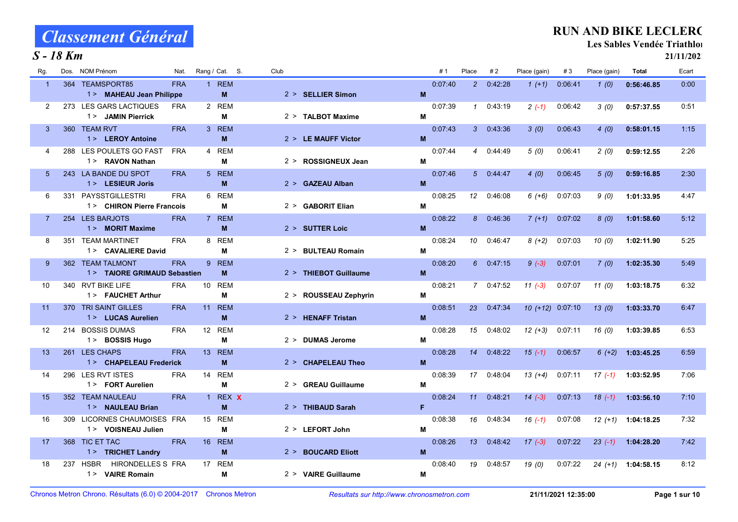### S - 18 Km

### RUN AND BIKE LECLERC

Les Sables Vendée Triathlon

| Rg.            | NOM Prénom<br>Dos.                             | Nat.       | Rang / Cat. S.                | Club |                       |    | #1      | Place          | #2        | Place (gain)     | #3      | Place (gain) | Total      | Ecart |
|----------------|------------------------------------------------|------------|-------------------------------|------|-----------------------|----|---------|----------------|-----------|------------------|---------|--------------|------------|-------|
| $\overline{1}$ | 364 TEAMSPORT85                                | <b>FRA</b> | <b>REM</b><br>1               |      |                       |    | 0.07:40 | $\overline{2}$ | 0.42:28   | $1(+1)$          | 0:06:41 | 1(0)         | 0:56:46.85 | 0:00  |
|                | 1> MAHEAU Jean Philippe                        |            | M                             |      | 2 > SELLIER Simon     | M  |         |                |           |                  |         |              |            |       |
| 2              | 273 LES GARS LACTIQUES                         | <b>FRA</b> | 2 REM                         |      |                       |    | 0:07:39 | $\mathcal I$   | 0:43:19   | $2(-1)$          | 0:06:42 | 3(0)         | 0:57:37.55 | 0:51  |
|                | 1> JAMIN Pierrick                              |            | М                             |      | 2 > TALBOT Maxime     | M  |         |                |           |                  |         |              |            |       |
| 3              | 360 TEAM RVT                                   | <b>FRA</b> | 3 REM                         |      |                       |    | 0.07.43 | 3              | 0:43:36   | 3(0)             | 0.06.43 | 4(0)         | 0:58:01.15 | 1:15  |
|                | 1> LEROY Antoine                               |            | <b>M</b>                      |      | $2 >$ LE MAUFF Victor | M  |         |                |           |                  |         |              |            |       |
| 4              | LES POULETS GO FAST<br>288                     | <b>FRA</b> | 4 REM                         |      |                       |    | 0:07:44 | $\overline{4}$ | 0:44:49   | 5(0)             | 0:06:41 | 2(0)         | 0:59:12.55 | 2:26  |
|                | 1 > RAVON Nathan                               |            | М                             |      | 2 > ROSSIGNEUX Jean   | M  |         |                |           |                  |         |              |            |       |
| 5              | 243 LA BANDE DU SPOT                           | <b>FRA</b> | 5 REM                         |      |                       |    | 0:07:46 | 5 <sup>1</sup> | 0.44.47   | 4(0)             | 0.06.45 | 5(0)         | 0:59:16.85 | 2:30  |
|                | 1 > LESIEUR Joris                              |            | M                             |      | 2 > GAZEAU Alban      | M  |         |                |           |                  |         |              |            |       |
| 6              | 331 PAYSSTGILLESTRI                            | <b>FRA</b> | <b>REM</b><br>6               |      |                       |    | 0:08:25 | 12             | 0:46:08   | $6 (+6)$         | 0.07.03 | 9(0)         | 1:01:33.95 | 4:47  |
|                | 1> CHIRON Pierre Francois                      |            | М                             |      | 2 > GABORIT Elian     | M  |         |                |           |                  |         |              |            |       |
| $\overline{7}$ | 254 LES BARJOTS                                | <b>FRA</b> | 7 REM                         |      |                       |    | 0:08:22 | 8              | 0:46:36   | $7 (+1)$         | 0:07:02 | 8(0)         | 1:01:58.60 | 5.12  |
|                | 1 > MORIT Maxime                               |            | M                             |      | 2 > SUTTER Loic       | M  |         |                |           |                  |         |              |            |       |
| 8              | 351 TEAM MARTINET                              | <b>FRA</b> | 8 REM                         |      |                       |    | 0:08:24 | 10             | 0.46.47   | $8(+2)$          | 0.07.03 | 10(0)        | 1:02:11.90 | 5:25  |
|                | 1 > CAVALIERE David                            |            | М                             |      | 2 > BULTEAU Romain    | M  |         |                |           |                  |         |              |            |       |
| 9              | 362 TEAM TALMONT                               | <b>FRA</b> | $9^{\circ}$<br><b>REM</b>     |      |                       |    | 0:08:20 | 6              | 0.47:15   | $9(-3)$          | 0.07.01 | 7(0)         | 1:02:35.30 | 5.49  |
|                | 1> TAIORE GRIMAUD Sebastien                    |            | M                             |      | 2 > THIEBOT Guillaume | M  |         |                |           |                  |         |              |            |       |
| 10             | 340 RVT BIKE LIFE                              | <b>FRA</b> | 10 REM                        |      |                       |    | 0:08:21 |                | 7 0:47:52 | $11 (-3)$        | 0.07.07 | 11(0)        | 1:03:18.75 | 6:32  |
|                | 1 > FAUCHET Arthur                             |            | М                             |      | 2 > ROUSSEAU Zephyrin | M  |         |                |           |                  |         |              |            |       |
| 11             | 370 TRI SAINT GILLES                           | <b>FRA</b> | 11 REM                        |      |                       |    | 0.08:51 | 23             | 0.47:34   | 10 (+12) 0:07:10 |         | 13(0)        | 1:03:33.70 | 6:47  |
|                | 1> LUCAS Aurelien                              |            | M                             |      | 2 > HENAFF Tristan    | M  |         |                |           |                  |         |              |            |       |
| 12             | 214 BOSSIS DUMAS                               | <b>FRA</b> | 12 REM                        |      |                       |    | 0:08:28 | 15             | 0:48:02   | $12 (+3)$        | 0:07:11 | 16(0)        | 1:03:39.85 | 6:53  |
|                | 1> BOSSIS Hugo                                 |            | М                             |      | 2 > DUMAS Jerome      | M  |         |                |           |                  |         |              |            |       |
| 13             | 261 LES CHAPS                                  | <b>FRA</b> | 13 REM                        |      |                       |    | 0:08:28 | 14             | 0:48:22   | $15(-1)$         | 0 06:57 | $6 (+2)$     | 1:03:45.25 | 6:59  |
|                | 1 > CHAPELEAU Frederick                        |            | M                             |      | 2 > CHAPELEAU Theo    | M  |         |                |           |                  |         |              |            |       |
| 14             | LES RVT ISTES<br>296                           | <b>FRA</b> | 14 REM                        |      |                       |    | 0:08:39 | 17             | 0:48:04   | $13(+4)$         | 0.07:11 | $17(-1)$     | 1:03:52.95 | 7:06  |
|                | 1 > FORT Aurelien                              |            | М                             |      | 2 > GREAU Guillaume   | М  |         |                |           |                  |         |              |            |       |
| 15             | 352 TEAM NAULEAU                               | <b>FRA</b> | REX X<br>$\mathbf{1}$         |      |                       |    | 0:08:24 | 11             | 0.48:21   | $14(-3)$         | 0.07.13 | $18( -1)$    | 1:03:56.10 | 7:10  |
|                | 1 > NAULEAU Brian                              |            | M                             |      | 2 > THIBAUD Sarah     | F. |         |                |           |                  |         |              |            |       |
| 16             | LICORNES CHAUMOISES FRA<br>309                 |            | 15 REM                        |      |                       |    | 0.08:38 | 16             | 0:48:34   | $16(-1)$         | 0.07.08 | $12(+1)$     | 1:04:18.25 | 7:32  |
|                | 1> VOISNEAU Julien                             |            | М                             |      | $2 >$ LEFORT John     | M  |         |                |           |                  |         |              |            |       |
| 17             | 368 TIC ET TAC                                 | <b>FRA</b> | <b>REM</b><br>16 <sup>1</sup> |      |                       |    | 0:08:26 | 13             | 0:48:42   | $17(-3)$         | 0:07:22 | $23(-1)$     | 1:04:28.20 | 7:42  |
|                | 1> TRICHET Landry                              |            | M                             |      | 2 > BOUCARD Eliott    | M  |         |                |           |                  |         |              |            |       |
| 18             | <b>HSBR</b><br><b>HIRONDELLES S FRA</b><br>237 |            | <b>REM</b><br>17 <sup>2</sup> |      |                       |    | 0:08:40 | 19             | 0:48:57   | 19(0)            | 0:07:22 | $24(+1)$     | 1:04:58.15 | 8:12  |
|                | 1 > VAIRE Romain                               |            | М                             |      | 2 > VAIRE Guillaume   | M  |         |                |           |                  |         |              |            |       |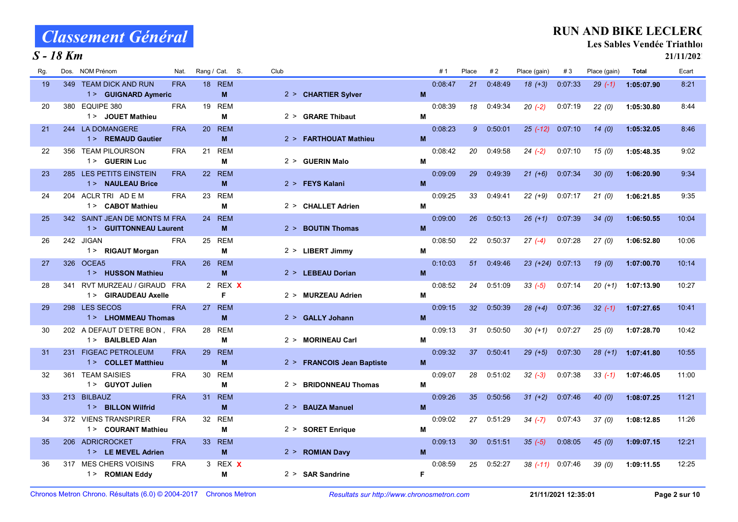#### S - 18 Km

### RUN AND BIKE LECLERC

Les Sables Vendée Triathlon

| Rg. | NOM Prénom<br>Dos.                                      | Nat.       | Rang / Cat. S.                     | Club |                            |   | #1      | Place           | #2      | Place (gain)     | #3      | Place (gain) | <b>Total</b> | Ecart |
|-----|---------------------------------------------------------|------------|------------------------------------|------|----------------------------|---|---------|-----------------|---------|------------------|---------|--------------|--------------|-------|
| 19  | 349 TEAM DICK AND RUN<br>1 > GUIGNARD Aymeric           | <b>FRA</b> | <b>18 REM</b><br>M                 |      | 2 > CHARTIER Sylver        | M | 0:08.47 | 21              | 0:48.49 | $18(+3)$         | 0.07.33 | $29( -1)$    | 1:05:07.90   | 8:21  |
| 20  | 380 EQUIPE 380<br>1 > JOUET Mathieu                     | <b>FRA</b> | 19 REM<br>M                        |      | 2 > GRARE Thibaut          | M | 0:08:39 | 18              | 0.49.34 | $20(-2)$         | 0.07:19 | 22(0)        | 1:05:30.80   | 8:44  |
| 21  | 244 LA DOMANGERE<br>1 > REMAUD Gautier                  | <b>FRA</b> | 20 REM<br>M                        |      | 2 > FARTHOUAT Mathieu      | M | 0:08:23 | 9               | 0:50:01 | $25(-12)$        | 0:07:10 | 14(0)        | 1:05:32.05   | 8:46  |
| 22  | 356 TEAM PILOURSON<br>1 > GUERIN Luc                    | <b>FRA</b> | 21<br><b>REM</b><br>М              |      | 2 > GUERIN Malo            | M | 0:08:42 | 20              | 0:49:58 | $24 (-2)$        | 0:07:10 | 15(0)        | 1:05:48.35   | 9:02  |
| 23  | 285 LES PETITS EINSTEIN<br>1 > NAULEAU Brice            | <b>FRA</b> | 22 REM<br>M                        |      | 2 > FEYS Kalani            | M | 0:09:09 | 29              | 0:49:39 | $21 (+6)$        | 0 07:34 | 30(0)        | 1:06:20.90   | 9:34  |
| 24  | 204 ACLR TRI AD E M<br>1 > CABOT Mathieu                | <b>FRA</b> | 23 REM<br>М                        |      | 2 > CHALLET Adrien         | М | 0:09:25 | 33              | 0.49.41 | $22 (+9)$        | 0:07:17 | 21(0)        | 1:06:21.85   | 9:35  |
| 25  | 342 SAINT JEAN DE MONTS M FRA<br>1> GUITTONNEAU Laurent |            | 24 REM<br>M                        |      | 2 > BOUTIN Thomas          | M | 0:09:00 | 26              | 0:50:13 | $26 (+1)$        | 0:07:39 | 34(0)        | 1:06:50.55   | 10:04 |
| 26  | 242 JIGAN<br>1 > RIGAUT Morgan                          | <b>FRA</b> | 25 REM<br>M                        |      | 2 > LIBERT Jimmy           | м | 0:08:50 | 22              | 0:50:37 | $27(-4)$         | 0:07:28 | 27(0)        | 1:06:52.80   | 10:06 |
| 27  | 326 OCEA5<br>1> HUSSON Mathieu                          | <b>FRA</b> | 26 REM<br>M                        |      | 2 > LEBEAU Dorian          | M | 0:10:03 | 51              | 0.49.46 | 23 (+24) 0:07:13 |         | 19(0)        | 1:07:00.70   | 10:14 |
| 28  | 341 RVT MURZEAU / GIRAUD FRA<br>1> GIRAUDEAU Axelle     |            | 2 REX X<br>F                       |      | 2 > MURZEAU Adrien         | M | 0:08:52 | 24              | 0:51:09 | $33(-5)$         | 0.07:14 | $20(+1)$     | 1:07:13.90   | 10:27 |
| 29  | 298 LES SECOS<br>1 > LHOMMEAU Thomas                    | <b>FRA</b> | 27 REM<br>M                        |      | 2 > GALLY Johann           | M | 0:09:15 | 32 <sup>°</sup> | 0:50:39 | $28 (+4)$        | 0:07:36 | $32(-1)$     | 1:07:27.65   | 10:41 |
| 30  | 202 A DEFAUT D'ETRE BON, FRA<br>1 > BAILBLED Alan       |            | 28 REM<br>М                        |      | 2 > MORINEAU Carl          | м | 0:09:13 | 31              | 0:50:50 | $30(+1)$         | 0:07:27 | 25(0)        | 1:07:28.70   | 10:42 |
| 31  | 231 FIGEAC PETROLEUM<br>1> COLLET Matthieu              | <b>FRA</b> | 29 REM<br>M                        |      | 2 > FRANCOIS Jean Baptiste | M | 0:09:32 | 37              | 0.50.41 | $29 (+5)$        | 0:07:30 | $28 (+1)$    | 1:07:41.80   | 10:55 |
| 32  | <b>TEAM SAISIES</b><br>361<br>1 > GUYOT Julien          | <b>FRA</b> | 30<br><b>REM</b><br>M              | 2 >  | <b>BRIDONNEAU Thomas</b>   | M | 0:09:07 | 28              | 0.51.02 | $32 (-3)$        | 0.07.38 | $33( -1)$    | 1:07:46.05   | 11:00 |
| 33  | 213 BILBAUZ<br>1 > BILLON Wilfrid                       | <b>FRA</b> | <b>REM</b><br>31<br>M              |      | 2 > BAUZA Manuel           | M | 0:09:26 | 35 <sub>2</sub> | 0:50:56 | $31 (+2)$        | 0:07:46 | 40(0)        | 1:08:07.25   | 11:21 |
| 34  | 372 VIENS TRANSPIRER<br>1 > COURANT Mathieu             | <b>FRA</b> | 32 REM<br>M                        |      | 2 > SORET Enrique          | М | 0:09:02 | 27              | 0:51:29 | $34(-7)$         | 0:07:43 | 37(0)        | 1:08:12.85   | 11:26 |
| 35  | 206 ADRICROCKET<br>1 > LE MEVEL Adrien                  | <b>FRA</b> | 33 <sup>°</sup><br><b>REM</b><br>M |      | 2 > ROMIAN Davy            | M | 0:09:13 | 30              | 0:51:51 | $35(-5)$         | 0:08:05 | 45(0)        | 1:09:07.15   | 12:21 |
| 36  | 317 MES CHERS VOISINS<br>1> ROMIAN Eddy                 | <b>FRA</b> | 3 REX X<br>M                       |      | $2 >$ SAR Sandrine         | F | 0:08:59 | 25              | 0:52:27 | $38(-11)$        | 0:07:46 | 39(0)        | 1:09:11.55   | 12:25 |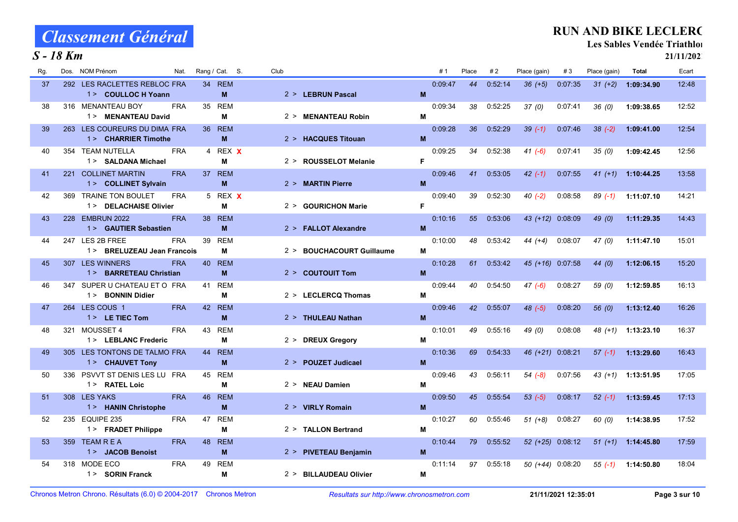#### S - 18 Km

### RUN AND BIKE LECLERC

Les Sables Vendée Triathlon

| Rg. | <b>NOM Prénom</b><br>Dos.<br>Nat.                             | Rang / Cat. S.        | Club                                |   | #1      | Place | #2      | Place (gain)       | #3                 | Place (gain) | Total      | Ecart |
|-----|---------------------------------------------------------------|-----------------------|-------------------------------------|---|---------|-------|---------|--------------------|--------------------|--------------|------------|-------|
| 37  | 292 LES RACLETTES REBLOC FRA<br>1> COULLOC H Yoann            | 34 REM<br>M           | 2 > LEBRUN Pascal                   | M | 0.09.47 | 44    | 0.52.14 | $36 (+5)$          | 0:07:35            | $31 (+2)$    | 1:09:34.90 | 12:48 |
| 38  | 316 MENANTEAU BOY<br><b>FRA</b><br>1 > MENANTEAU David        | 35<br><b>REM</b><br>м | 2 > MENANTEAU Robin                 | M | 0:09:34 | 38    | 0:52:25 | 37(0)              | 0:07.41            | 36(0)        | 1:09:38.65 | 12:52 |
| 39  | 263 LES COUREURS DU DIMA FRA<br>1> CHARRIER Timothe           | 36 REM<br>M           | 2 > HACQUES Titouan                 | M | 0:09:28 | 36    | 0:52:29 | $39(-1)$           | 0.07:46            | $38(-2)$     | 1:09:41.00 | 12:54 |
| 40  | TEAM NUTELLA<br><b>FRA</b><br>354<br>1> SALDANA Michael       | 4 REX X<br>M          | 2 > ROUSSELOT Melanie               | F | 0:09:25 | 34    | 0:52:38 | $41 (-6)$          | 0.07:41            | 35(0)        | 1:09:42.45 | 12:56 |
| 41  | 221 COLLINET MARTIN<br><b>FRA</b><br>1> COLLINET Sylvain      | 37 REM<br>M           | 2 > MARTIN Pierre                   | M | 0:09:46 | 41    | 0:53:05 | $42(-1)$           | 0:07:55            | $41 (+1)$    | 1:10:44.25 | 13.58 |
| 42  | 369 TRAINE TON BOULET<br><b>FRA</b><br>1 > DELACHAISE Olivier | 5 REX X<br>M          | 2 > GOURICHON Marie                 | F | 0:09:40 | 39    | 0:52:30 | $40(-2)$           | 0:08:58            | $89( -1)$    | 1:11:07.10 | 14:21 |
| 43  | 228 EMBRUN 2022<br><b>FRA</b><br>1> GAUTIER Sebastien         | <b>REM</b><br>38<br>M | 2 > FALLOT Alexandre                | M | 0:10:16 | 55    | 0:53:06 | 43 (+12) 0:08:09   |                    | 49 (0)       | 1:11:29.35 | 14 43 |
| 44  | 247 LES 2B FREE<br><b>FRA</b><br>1> BRELUZEAU Jean Francois   | 39<br><b>REM</b><br>м | <b>BOUCHACOURT Guillaume</b><br>2 > | M | 0.10:00 | 48    | 0:53:42 | $44 (+4)$          | 0:08:07            | 47(0)        | 1:11:47.10 | 15:01 |
| 45  | 307 LES WINNERS<br><b>FRA</b><br>1 > BARRETEAU Christian      | 40<br><b>REM</b><br>M | $2 >$ COUTOUIT Tom                  | M | 0:10:28 | 61    | 0.53.42 | 45 (+16) 0:07:58   |                    | 44(0)        | 1:12:06.15 | 15:20 |
| 46  | SUPER U CHATEAU ET O FRA<br>347<br>1> BONNIN Didier           | <b>REM</b><br>41<br>М | 2 > LECLERCQ Thomas                 | M | 0:09:44 | 40    | 0:54:50 | $47(-6)$           | 0:08:27            | 59 (0)       | 1:12:59.85 | 16:13 |
| 47  | 264 LES COUS 1<br><b>FRA</b><br>$1 >$ LE TIEC Tom             | 42 REM<br>M           | 2 > THULEAU Nathan                  | M | 0:09:46 | 42    | 0:55:07 | $48$ $(-5)$        | 0:08:20            | 56 (0)       | 1:13:12.40 | 16:26 |
| 48  | MOUSSET 4<br><b>FRA</b><br>321<br>1> LEBLANC Frederic         | <b>REM</b><br>43<br>М | 2 > DREUX Gregory                   | M | 0:10:01 | 49    | 0:55:16 | 49 (0)             | 0:08:08            | 48 (+1)      | 1:13:23.10 | 16:37 |
| 49  | 305 LES TONTONS DE TALMO FRA<br>1> CHAUVET Tony               | <b>REM</b><br>44<br>M | 2 > POUZET Judicael                 | M | 0:10:36 | 69    | 0:54:33 | $46 (+21)$         | 0.08:21            | $57(-1)$     | 1:13:29.60 | 16:43 |
| 50  | PSVVT ST DENIS LES LU FRA<br>336<br>1 > RATEL Loic            | <b>REM</b><br>45<br>м | 2 > NEAU Damien                     | M | 0:09:46 | 43    | 0:56:11 | $54(-8)$           | 0:07:56            | 43 (+1)      | 1:13:51.95 | 17:05 |
| 51  | 308 LES YAKS<br><b>FRA</b><br>1> HANIN Christophe             | 46<br><b>REM</b><br>M | 2 > VIRLY Romain                    | M | 0:09:50 | 45    | 0:55:54 | $53(-5)$           | 0:08:17            | $52( -1)$    | 1:13:59.45 | 17:13 |
| 52  | 235 EQUIPE 235<br><b>FRA</b><br>1> FRADET Philippe            | 47<br><b>REM</b><br>M | 2 > TALLON Bertrand                 | M | 0:10:27 | 60    | 0:55:46 | $51 (+8)$          | 0:08:27            | 60 (0)       | 1:14:38.95 | 17:52 |
| 53  | <b>TEAM R E A</b><br><b>FRA</b><br>359<br>1> JACOB Benoist    | <b>REM</b><br>48<br>M | 2 > PIVETEAU Benjamin               | M | 0.10.44 | 79    | 0:55:52 |                    | $52 (+25) 0.08:12$ | $51 (+1)$    | 1:14:45.80 | 17:59 |
| 54  | 318 MODE ECO<br><b>FRA</b><br>1> SORIN Franck                 | 49<br><b>REM</b><br>M | 2 > BILLAUDEAU Olivier              | M | 0.11.14 | 97    | 0:55:18 | $50 (+44) 0:08:20$ |                    | $55(-1)$     | 1:14:50.80 | 18:04 |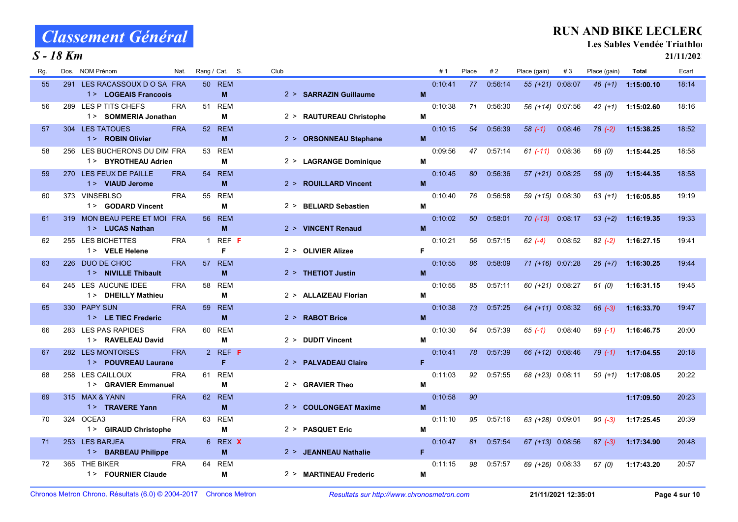#### S - 18 Km

### RUN AND BIKE LECLERC

Les Sables Vendée Triathlon

| Rg. | NOM Prénom<br>Dos.<br>Nat.                            | Rang / Cat. S.        | Club                     |    | #1      | Place | #2      | Place (gain)     | #3      | Place (gain) | Total      | Ecart |
|-----|-------------------------------------------------------|-----------------------|--------------------------|----|---------|-------|---------|------------------|---------|--------------|------------|-------|
| 55  | 291 LES RACASSOUX D O SA FRA                          | <b>50 REM</b>         |                          |    | 0:10:41 | 77    | 0.56.14 | 55 (+21) 0:08:07 |         | $46 (+1)$    | 1:15:00.10 | 18:14 |
|     | 1> LOGEAIS Francoois                                  | <b>M</b>              | 2 > SARRAZIN Guillaume   | M  |         |       |         |                  |         |              |            |       |
| 56  | 289 LES P TITS CHEFS<br><b>FRA</b>                    | <b>REM</b><br>51      |                          |    | 0:10:38 | 71    | 0:56:30 | 56 (+14) 0:07:56 |         | $42 (+1)$    | 1:15:02.60 | 18:16 |
|     | 1> SOMMERIA Jonathan                                  | М                     | 2 > RAUTUREAU Christophe | M  |         |       |         |                  |         |              |            |       |
| 57  | 304 LES TATOUES<br><b>FRA</b>                         | 52 REM                |                          |    | 0:10:15 | 54    | 0:56:39 | $58(-1)$         | 0 08:46 | $78$ $(-2)$  | 1:15:38.25 | 18:52 |
|     | 1> ROBIN Olivier                                      | M                     | 2 > ORSONNEAU Stephane   | M  |         |       |         |                  |         |              |            |       |
| 58  | 256 LES BUCHERONS DU DIM FRA                          | 53 REM                |                          |    | 0:09:56 | 47    | 0:57:14 | $61$ (-11)       | 0:08:36 | 68 (0)       | 1:15:44.25 | 18:58 |
|     | 1 > BYROTHEAU Adrien                                  | М                     | 2 > LAGRANGE Dominique   | M  |         |       |         |                  |         |              |            |       |
| 59  | 270 LES FEUX DE PAILLE<br><b>FRA</b>                  | <b>REM</b><br>54      |                          |    | 0:10:45 | 80    | 0:56:36 | 57 (+21) 0:08:25 |         | 58 (0)       | 1:15:44.35 | 18.58 |
|     | 1> VIAUD Jerome                                       | M                     | 2 > ROUILLARD Vincent    | M  |         |       |         |                  |         |              |            |       |
| 60  | 373 VINSEBLSO<br><b>FRA</b><br>1> GODARD Vincent      | 55<br><b>REM</b><br>м | 2 > BELIARD Sebastien    | M  | 0:10:40 | 76    | 0:56:58 | 59 (+15) 0:08:30 |         | $63(+1)$     | 1:16:05.85 | 19:19 |
|     |                                                       |                       |                          |    |         | 50    |         |                  |         |              |            |       |
| 61  | 319 MON BEAU PERE ET MOI FRA<br>1 > LUCAS Nathan      | <b>REM</b><br>56<br>M | 2 > VINCENT Renaud       | M  | 0.10.02 |       | 0:58:01 | $70$ (-13)       | 0:08:17 | $53(+2)$     | 1:16:19.35 | 19:33 |
| 62  | 255 LES BICHETTES<br><b>FRA</b>                       | REF F<br>$\mathbf{1}$ |                          |    | 0:10:21 | 56    | 0:57:15 | $62 (-4)$        | 0.08:52 | $82(-2)$     | 1:16:27.15 | 19.41 |
|     | 1> VELE Helene                                        | F                     | 2 > OLIVIER Alizee       | F. |         |       |         |                  |         |              |            |       |
| 63  | 226 DUO DE CHOC<br><b>FRA</b>                         | <b>REM</b><br>57      |                          |    | 0:10:55 | 86    | 0:58:09 | 71 (+16) 0:07:28 |         | $26 (+7)$    | 1:16:30.25 | 19:44 |
|     | 1> NIVILLE Thibault                                   | M                     | $2 > $ THETIOT Justin    | M  |         |       |         |                  |         |              |            |       |
| 64  | 245 LES AUCUNE IDEE<br><b>FRA</b>                     | 58<br><b>REM</b>      |                          |    | 0:10:55 | 85    | 0:57:11 | 60 (+21) 0:08:27 |         | 61 (0)       | 1:16:31.15 | 19:45 |
|     | 1> DHEILLY Mathieu                                    | М                     | 2 > ALLAIZEAU Florian    | M  |         |       |         |                  |         |              |            |       |
| 65  | 330 PAPY SUN<br><b>FRA</b>                            | <b>REM</b><br>59      |                          |    | 0:10:38 | 73    | 0:57:25 | 64 (+11) 0:08:32 |         | $66 (-3)$    | 1:16:33.70 | 19:47 |
|     | 1 > LE TIEC Frederic                                  | M                     | 2 > RABOT Brice          | M  |         |       |         |                  |         |              |            |       |
| 66  | 283 LES PAS RAPIDES<br><b>FRA</b>                     | <b>REM</b><br>60      |                          |    | 0:10:30 | 64    | 0:57:39 | $65(-1)$         | 0:08:40 | $69( -1)$    | 1:16:46.75 | 20:00 |
|     | 1> RAVELEAU David                                     | М                     | 2 > DUDIT Vincent        | M  |         |       |         |                  |         |              |            |       |
| 67  | 282 LES MONTOISES<br><b>FRA</b>                       | 2 REF F               |                          |    | 0.10.41 | 78    | 0:57:39 | 66 (+12) 0:08:46 |         | $79(-1)$     | 1:17:04.55 | 20:18 |
|     | 1 > POUVREAU Laurane                                  | F                     | 2 > PALVADEAU Claire     | F  |         |       |         |                  |         |              |            |       |
| 68  | 258 LES CAILLOUX<br><b>FRA</b><br>1> GRAVIER Emmanuel | <b>REM</b><br>61<br>м | 2 > GRAVIER Theo         | M  | 0:11:03 | 92    | 0:57:55 | 68 (+23) 0:08:11 |         | 50 (+1)      | 1:17:08.05 | 20:22 |
| 69  | 315 MAX & YANN<br><b>FRA</b>                          |                       |                          |    |         | 90    |         |                  |         |              | 1:17:09.50 | 20:23 |
|     | 1 > TRAVERE Yann                                      | 62 REM<br>M           | 2 > COULONGEAT Maxime    | M  | 0:10:58 |       |         |                  |         |              |            |       |
| 70  | 324 OCEA3<br><b>FRA</b>                               | <b>REM</b><br>63      |                          |    | 0:11:10 | 95    | 0:57:16 | 63 (+28) 0:09:01 |         | $90 (-3)$    | 1:17:25.45 | 20:39 |
|     | 1> GIRAUD Christophe                                  | М                     | 2 > PASQUET Eric         | M  |         |       |         |                  |         |              |            |       |
| 71  | 253 LES BARJEA<br><b>FRA</b>                          | 6 REX X               |                          |    | 0:10:47 | 81    | 0:57:54 | 67 (+13) 0:08:56 |         | $87 (-3)$    | 1:17:34.90 | 20:48 |
|     | 1> BARBEAU Philippe                                   | M                     | 2 > JEANNEAU Nathalie    | F. |         |       |         |                  |         |              |            |       |
| 72  | THE BIKER<br><b>FRA</b><br>365                        | <b>REM</b><br>64      |                          |    | 0:11:15 | 98    | 0:57:57 | 69 (+26) 0:08:33 |         | 67(0)        | 1:17:43.20 | 20:57 |
|     | 1> FOURNIER Claude                                    | M                     | 2 > MARTINEAU Frederic   | M  |         |       |         |                  |         |              |            |       |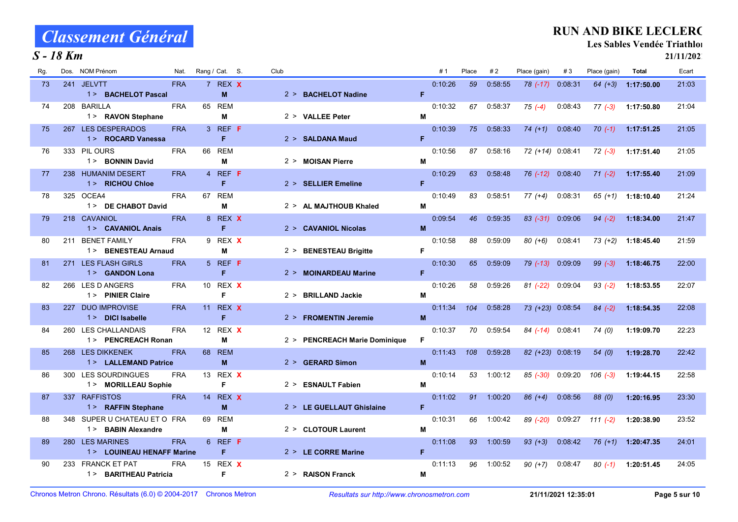### S - 18 Km

### RUN AND BIKE LECLERC

Les Sables Vendée Triathlon

| Rg. | NOM Prénom<br>Dos.                                  | Nat.       |    | Rang / Cat. S.  | Club |                               |   | #1      | Place | #2      | Place (gain)     | #3      | Place (gain) | Total      | Ecart |
|-----|-----------------------------------------------------|------------|----|-----------------|------|-------------------------------|---|---------|-------|---------|------------------|---------|--------------|------------|-------|
| 73  | 241 JELVTT<br>1 > BACHELOT Pascal                   | <b>FRA</b> |    | 7 REX X<br>M    |      | 2 > BACHELOT Nadine           | F | 0:10:26 | 59    | 0:58:55 | $78$ $(-17)$     | 0 08:31 | $64 (+3)$    | 1:17:50.00 | 21:03 |
| 74  | 208 BARILLA<br>1> RAVON Stephane                    | <b>FRA</b> |    | 65 REM<br>M     |      | 2 > VALLEE Peter              | М | 0:10:32 | 67    | 0:58:37 | $75(-4)$         | 0:08:43 | $77(-3)$     | 1:17:50.80 | 21:04 |
| 75  | 267 LES DESPERADOS<br>1> ROCARD Vanessa             | <b>FRA</b> |    | 3 REF F<br>F    |      | 2 > SALDANA Maud              | F | 0.10.39 | 75    | 0.58.33 | $74 (+1)$        | 0.08.40 | $70(-1)$     | 1:17:51.25 | 21:05 |
| 76  | 333 PIL OURS<br>1 > BONNIN David                    | <b>FRA</b> |    | 66 REM<br>M     |      | 2 > MOISAN Pierre             | М | 0:10:56 | 87    | 0:58:16 | 72 (+14) 0:08:41 |         | $72(-3)$     | 1:17:51.40 | 21:05 |
| 77  | 238 HUMANIM DESERT<br>1> RICHOU Chloe               | <b>FRA</b> |    | 4 REF F<br>F    |      | 2 > SELLIER Emeline           | F | 0:10:29 | 63    | 0:58:48 | $76$ $(-12)$     | 0:08:40 | $71(-2)$     | 1:17:55.40 | 21:09 |
| 78  | 325 OCEA4<br>1 > DE CHABOT David                    | <b>FRA</b> |    | 67 REM<br>M     |      | 2 > AL MAJTHOUB Khaled        | м | 0:10:49 | 83    | 0:58:51 | $77 (+4)$        | 0:08:31 | 65 (+1)      | 1:18:10.40 | 21:24 |
| 79  | 218 CAVANIOL<br>1> CAVANIOL Anais                   | <b>FRA</b> |    | 8 REX X<br>F    |      | 2 > CAVANIOL Nicolas          | M | 0:09:54 | 46    | 0:59:35 | $83$ $(-31)$     | 0:09:06 | $94 (-2)$    | 1:18:34.00 | 21:47 |
| 80  | <b>BENET FAMILY</b><br>211<br>1> BENESTEAU Arnaud   | <b>FRA</b> |    | 9 REX X<br>M    |      | 2 > BENESTEAU Brigitte        | F | 0:10:58 | 88    | 0:59:09 | $80 (+6)$        | 0:08:41 | $73 (+2)$    | 1:18:45.40 | 21:59 |
| 81  | 271 LES FLASH GIRLS<br>1> GANDON Lona               | <b>FRA</b> |    | 5 REF F<br>F    |      | 2 > MOINARDEAU Marine         | F | 0:10:30 | 65    | 0:59:09 | $79$ $(-13)$     | 0:09:09 | $99(-3)$     | 1:18:46.75 | 22:00 |
| 82  | 266 LES D ANGERS<br>1> PINIER Claire                | <b>FRA</b> |    | 10 REX X<br>F   |      | 2 > BRILLAND Jackie           | M | 0:10:26 | 58    | 0:59:26 | $81 (-22)$       | 0:09:04 | $93(-2)$     | 1:18:53.55 | 22:07 |
| 83  | 227 DUO IMPROVISE<br>1 > DICI Isabelle              | <b>FRA</b> |    | 11 REX X<br>F   |      | 2 > FROMENTIN Jeremie         | M | 0:11:34 | 104   | 0:58:28 | 73 (+23) 0:08:54 |         | $84(-2)$     | 1:18:54.35 | 22:08 |
| 84  | 260 LES CHALLANDAIS<br>1 > PENCREACH Ronan          | <b>FRA</b> |    | 12 REX X<br>M   |      | 2 > PENCREACH Marie Dominique | F | 0:10:37 | 70    | 0:59:54 | $84$ (-14)       | 0.08.41 | 74(0)        | 1:19:09.70 | 22:23 |
| 85  | 268 LES DIKKENEK<br>1> LALLEMAND Patrice            | <b>FRA</b> |    | 68 REM<br>M     |      | 2 > GERARD Simon              | M | 0:11:43 | 108   | 0:59:28 | 82 (+23) 0:08:19 |         | 54(0)        | 1:19:28.70 | 22:42 |
| 86  | LES SOURDINGUES<br>300<br>1> MORILLEAU Sophie       | <b>FRA</b> |    | 13 REX X<br>F   |      | 2 > ESNAULT Fabien            | M | 0:10:14 | 53    | 1:00:12 | $85 (-30)$       | 0:09:20 | $106$ $(-3)$ | 1:19:44.15 | 22:58 |
| 87  | 337 RAFFISTOS<br>1> RAFFIN Stephane                 | <b>FRA</b> |    | 14 REX X<br>M   |      | 2 > LE GUELLAUT Ghislaine     | F | 0:11:02 | 91    | 1:00:20 | $86 (+4)$        | 0:08:56 | 88 (0)       | 1:20:16.95 | 23:30 |
| 88  | 348 SUPER U CHATEAU ET O FRA<br>1 > BABIN Alexandre |            | 69 | <b>REM</b><br>M |      | 2 > CLOTOUR Laurent           | M | 0:10:31 | 66    | 1:00:42 | 89 (-20)         | 0:09:27 | $111(-2)$    | 1:20:38.90 | 23:52 |
| 89  | 280 LES MARINES<br>1> LOUINEAU HENAFF Marine        | <b>FRA</b> |    | 6 REF F<br>F    |      | 2 > LE CORRE Marine           | F | 0:11:08 | 93    | 1:00:59 | $93 (+3)$        | 0.08.42 | $76 (+1)$    | 1:20:47.35 | 24:01 |
| 90  | 233 FRANCK ET PAT<br>1> BARITHEAU Patricia          | <b>FRA</b> |    | 15 REX X<br>F   |      | 2 > RAISON Franck             | M | 0:11:13 | 96    | 1:00:52 | $90 (+7)$        | 0:08:47 | $80( -1)$    | 1:20:51.45 | 24:05 |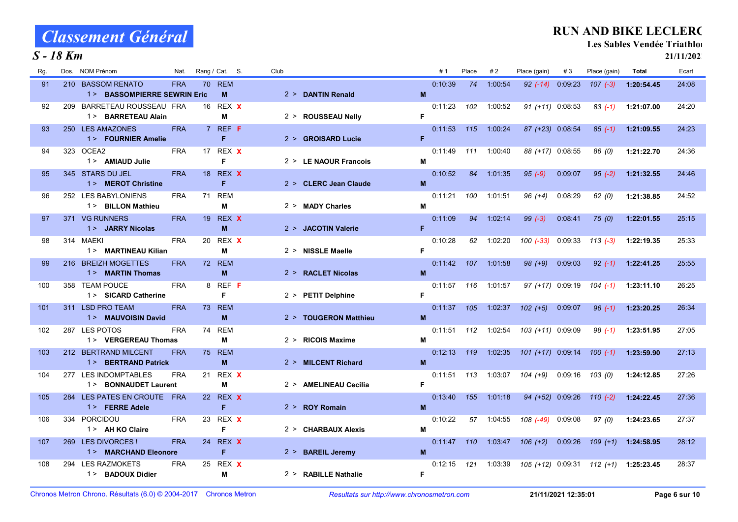#### S - 18 Km

#### RUN AND BIKE LECLERC

Les Sables Vendée Triathlon

| Rg. | <b>NOM Prénom</b><br>Dos.                       | Nat.       | Rang / Cat. S. |            | Club |                       |    | #1      | Place | #2      | Place (gain)       | #3      | Place (gain) | Total      | Ecart |
|-----|-------------------------------------------------|------------|----------------|------------|------|-----------------------|----|---------|-------|---------|--------------------|---------|--------------|------------|-------|
| 91  | 210 BASSOM RENATO                               | <b>FRA</b> | 70 REM         |            |      |                       |    | 0:10:39 | 74    | 1:00:54 | $92 (-14)$         | 0.09.23 | $107 (-3)$   | 1:20:54.45 | 24:08 |
|     | 1> BASSOMPIERRE SEWRIN Eric                     |            |                | M          |      | 2 > DANTIN Renald     | M  |         |       |         |                    |         |              |            |       |
| 92  | 209 BARRETEAU ROUSSEAU FRA                      |            | 16 REX X       |            |      |                       |    | 0:11:23 | 102   | 1:00:52 | $91 (+11) 0:08:53$ |         | $83( -1)$    | 1:21:07.00 | 24:20 |
|     | 1> BARRETEAU Alain                              |            | M              |            |      | 2 > ROUSSEAU Nelly    | F  |         |       |         |                    |         |              |            |       |
| 93  | 250 LES AMAZONES<br>1> FOURNIER Amelie          | <b>FRA</b> | $7$ REF F<br>F |            |      | 2 > GROISARD Lucie    | F. | 0:11:53 | 115   | 1:00:24 | 87 (+23) 0:08:54   |         | $85(-1)$     | 1:21:09.55 | 24.23 |
| 94  | 323 OCEA2                                       | <b>FRA</b> | 17 REX X       |            |      |                       |    | 0:11:49 | 111   | 1:00:40 | 88 (+17) 0:08:55   |         | 86 (0)       | 1:21:22.70 | 24:36 |
|     | 1 > AMIAUD Julie                                |            | E              |            |      | 2 > LE NAOUR Francois | M  |         |       |         |                    |         |              |            |       |
| 95  | 345 STARS DU JEL                                | <b>FRA</b> | 18 REX X       |            |      |                       |    | 0:10:52 | 84    | 1:01:35 | $95(-9)$           | 0 09 07 | $95(-2)$     | 1:21:32.55 | 24:46 |
|     | 1> MEROT Christine                              |            |                | F          |      | 2 > CLERC Jean Claude | M  |         |       |         |                    |         |              |            |       |
| 96  | 252 LES BABYLONIENS                             | <b>FRA</b> | 71 REM         |            |      |                       |    | 0:11:21 | 100   | 1:01:51 | $96 (+4)$          | 0:08:29 | 62(0)        | 1:21:38.85 | 24:52 |
|     | 1> BILLON Mathieu                               |            |                | М          |      | 2 > MADY Charles      | M  |         |       |         |                    |         |              |            |       |
| 97  | 371 VG RUNNERS                                  | <b>FRA</b> | 19 REX X       |            |      |                       |    | 0:11:09 | 94    | 1:02:14 | $99(-3)$           | 0.08.41 | 75(0)        | 1:22:01.55 | 25:15 |
|     | 1> JARRY Nicolas                                |            | M              |            |      | 2 > JACOTIN Valerie   | F. |         |       |         |                    |         |              |            |       |
| 98  | 314 MAEKI<br>1> MARTINEAU Kilian                | <b>FRA</b> | 20 REX X<br>M  |            |      | 2 > NISSLE Maelle     | F. | 0:10:28 | 62    | 1:02:20 | $100(-33)$         | 0:09:33 | $113(-3)$    | 1:22:19.35 | 25:33 |
| 99  | 216 BREIZH MOGETTES                             | <b>FRA</b> | 72 REM         |            |      |                       |    | 0:11.42 | 107   | 1:01:58 | $98 (+9)$          | 0:09:03 | $92(-1)$     | 1:22:41.25 | 25:55 |
|     | 1 > MARTIN Thomas                               |            |                | M          |      | 2 > RACLET Nicolas    | M  |         |       |         |                    |         |              |            |       |
| 100 | 358 TEAM POUCE                                  | <b>FRA</b> | 8 REF F        |            |      |                       |    | 0:11:57 | 116   | 1:01:57 | 97 (+17) 0:09:19   |         | $104$ $(-1)$ | 1:23:11.10 | 26:25 |
|     | 1 > SICARD Catherine                            |            | F              |            |      | 2 > PETIT Delphine    | F. |         |       |         |                    |         |              |            |       |
| 101 | 311 LSD PRO TEAM                                | <b>FRA</b> | 73 REM         |            |      |                       |    | 0.11.37 | 105   | 1:02:37 | $102 (+5)$         | 0.09.07 | $96(-1)$     | 1:23:20.25 | 26.34 |
|     | 1> MAUVOISIN David                              |            |                | M          |      | 2 > TOUGERON Matthieu | M  |         |       |         |                    |         |              |            |       |
| 102 | 287 LES POTOS                                   | <b>FRA</b> | 74 REM         |            |      |                       |    | 0:11:51 | 112   | 1:02:54 | 103 (+11) 0:09:09  |         | $98( -1)$    | 1:23:51.95 | 27:05 |
|     | 1> VERGEREAU Thomas                             |            |                | м          |      | 2 > RICOIS Maxime     | м  |         |       |         |                    |         |              |            |       |
| 103 | 212 BERTRAND MILCENT<br>1 > BERTRAND Patrick    | <b>FRA</b> | <b>75 REM</b>  | M          |      | 2 > MILCENT Richard   | M  | 0:12:13 | 119   | 1:02:35 | 101 (+17) 0:09:14  |         | $100(-1)$    | 1:23:59.90 | 27.13 |
| 104 | 277 LES INDOMPTABLES                            | <b>FRA</b> | 21             | REX X      |      |                       |    | 0:11:51 | 113   | 1:03:07 | $104 (+9)$         | 0:09:16 | 103(0)       | 1:24:12.85 | 27:26 |
|     | 1> BONNAUDET Laurent                            |            | M              |            |      | 2 > AMELINEAU Cecilia | F. |         |       |         |                    |         |              |            |       |
| 105 | LES PATES EN CROUTE FRA<br>284                  |            | 22 REX X       |            |      |                       |    | 0:13:40 | 155   | 1:01:18 | 94 (+52) 0:09:26   |         | $110(-2)$    | 1:24:22.45 | 27.36 |
|     | 1 > FERRE Adele                                 |            | F              |            |      | 2 > ROY Romain        | M  |         |       |         |                    |         |              |            |       |
| 106 | 334 PORCIDOU                                    | <b>FRA</b> | 23             | REX X      |      |                       |    | 0:10:22 | 57    | 1:04:55 | 108 (-49)          | 0.09.08 | 97(0)        | 1:24:23.65 | 27:37 |
|     | 1 > AH KO Claire                                |            | F              |            |      | 2 > CHARBAUX Alexis   | М  |         |       |         |                    |         |              |            |       |
| 107 | 269 LES DIVORCES !                              | <b>FRA</b> | 24             | REX X      |      |                       |    | 0:11:47 | 110   | 1:03:47 | $106 (+2)$         | 0:09:26 | $109 (+1)$   | 1:24:58.95 | 28:12 |
|     | 1> MARCHAND Eleonore                            |            | F              |            |      | 2 > BAREIL Jeremy     | M  |         |       |         |                    |         |              |            |       |
| 108 | <b>LES RAZMOKETS</b><br>294<br>1> BADOUX Didier | <b>FRA</b> | 25             | REX X<br>M |      | 2 > RABILLE Nathalie  | F. | 0:12:15 | 121   | 1:03:39 | 105 (+12) 0:09:31  |         | 112 (+1)     | 1:25:23.45 | 28:37 |
|     |                                                 |            |                |            |      |                       |    |         |       |         |                    |         |              |            |       |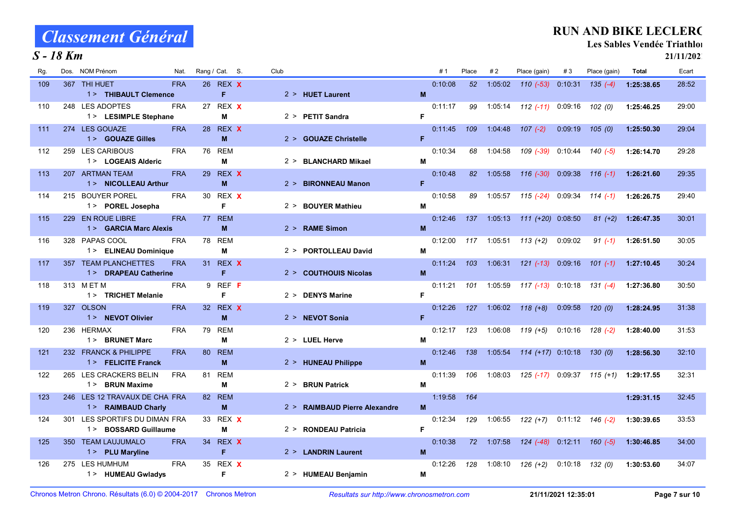#### S - 18 Km

### RUN AND BIKE LECLERC

Les Sables Vendée Triathlon

| Rg. | Dos. | <b>NOM Prénom</b>                      | Nat.       |    | Rang / Cat. S. | Club |                               |    | #1      | Place        | #2      | Place (gain)             | #3      | Place (gain)           | Total      | Ecart |
|-----|------|----------------------------------------|------------|----|----------------|------|-------------------------------|----|---------|--------------|---------|--------------------------|---------|------------------------|------------|-------|
| 109 |      | 367 THI HUET                           | <b>FRA</b> |    | 26 REX X       |      |                               |    | 0:10:08 | 52           | 1:05:02 | $110 (-53) 0.10.31$      |         | $135(-4)$              | 1:25:38.65 | 28:52 |
|     |      | 1> THIBAULT Clemence                   |            |    | F.             |      | $2 > HUET$ Laurent            | M  |         |              |         |                          |         |                        |            |       |
| 110 |      | 248 LES ADOPTES                        | <b>FRA</b> |    | 27 REX X       |      |                               |    | 0:11:17 | 99           | 1:05:14 | <i>112 (-11)</i> 0.09:16 |         | 102 (0)                | 1:25:46.25 | 29:00 |
|     |      | 1> LESIMPLE Stephane                   |            |    | M              |      | $2 >$ PETIT Sandra            | F. |         |              |         |                          |         |                        |            |       |
| 111 |      | 274 LES GOUAZE<br>1 > GOUAZE Gilles    | <b>FRA</b> |    | 28 REX X<br>M  |      | 2 > GOUAZE Christelle         | F. | 0.11.45 | 109          | 1:04:48 | $107(-2)$                | 0.09:19 | 105(0)                 | 1:25:50.30 | 29:04 |
|     |      | 259 LES CARIBOUS                       | <b>FRA</b> |    | 76 REM         |      |                               |    | 0:10:34 |              |         |                          |         |                        |            | 29:28 |
| 112 |      | 1> LOGEAIS Alderic                     |            |    | М              |      | 2 > BLANCHARD Mikael          | М  |         | 68           | 1:04:58 | 109 (-39)                |         | $0:10:44$ $140$ $(-5)$ | 1:26:14.70 |       |
| 113 |      | 207 ARTMAN TEAM                        | <b>FRA</b> |    | 29 REX X       |      |                               |    | 0:10.48 | 82           | 1:05:58 | $116(-30)$               | 0.09.38 | $116(-1)$              | 1:26:21.60 | 29:35 |
|     |      | 1 > NICOLLEAU Arthur                   |            |    | M              |      | 2 > BIRONNEAU Manon           | F. |         |              |         |                          |         |                        |            |       |
| 114 |      | 215 BOUYER POREL                       | <b>FRA</b> |    | 30 REX X       |      |                               |    | 0:10:58 | 89           | 1:05:57 | 115 (-24)                | 0:09:34 | $114(-1)$              | 1:26:26.75 | 29:40 |
|     |      | 1> POREL Josepha                       |            |    | F              |      | 2 > BOUYER Mathieu            | М  |         |              |         |                          |         |                        |            |       |
| 115 |      | 229 EN ROUE LIBRE                      | <b>FRA</b> |    | 77 REM         |      |                               |    | 0:12:46 | 137          | 1:05:13 | $111 (+20) 0.08:50$      |         | $81 (+2)$              | 1:26:47.35 | 30:01 |
|     |      | 1 > GARCIA Marc Alexis                 |            |    | M              |      | 2 > RAME Simon                | M  |         |              |         |                          |         |                        |            |       |
| 116 |      | 328 PAPAS COOL                         | <b>FRA</b> |    | 78 REM         |      |                               |    | 0:12:00 | 117          | 1:05:51 | $113 (+2)$               | 0.09:02 | $91( -1)$              | 1:26:51.50 | 30:05 |
|     |      | 1> ELINEAU Dominique                   |            |    | м              |      | 2 > PORTOLLEAU David          | М  |         |              |         |                          |         |                        |            |       |
| 117 |      | 357 TEAM PLANCHETTES                   | <b>FRA</b> |    | 31 REX X       |      |                               |    | 0:11:24 | 103          | 1:06:31 | $121(-13)$               | 0.09:16 | $101(-1)$              | 1:27:10.45 | 30:24 |
|     |      | 1 > DRAPEAU Catherine                  |            |    | F              |      | 2 > COUTHOUIS Nicolas         | M  |         |              |         |                          |         |                        |            |       |
| 118 |      | 313 MET M<br>1 > TRICHET Melanie       | <b>FRA</b> |    | 9 REF F<br>F   |      | 2 > DENYS Marine              | F. | 0:11:21 | 101          | 1:05:59 | $117(-13)$               | 0:10:18 | $131 (-4)$             | 1:27:36.80 | 30:50 |
| 119 |      | 327 OLSON                              | <b>FRA</b> |    | 32 REX X       |      |                               |    | 0:12:26 | 127          | 1:06:02 | $118 (+8)$               | 0.09.58 | 120(0)                 | 1:28:24.95 | 31:38 |
|     |      | 1> NEVOT Olivier                       |            |    | M              |      | 2 > NEVOT Sonia               | F. |         |              |         |                          |         |                        |            |       |
| 120 |      | 236 HERMAX                             | <b>FRA</b> |    | 79 REM         |      |                               |    | 0:12:17 | 123          | 1:06:08 | $119 (+5)$               | 0:10:16 | $128(-2)$              | 1:28:40.00 | 31:53 |
|     |      | 1 > BRUNET Marc                        |            |    | M              |      | 2 > LUEL Herve                | М  |         |              |         |                          |         |                        |            |       |
| 121 |      | 232 FRANCK & PHILIPPE                  | <b>FRA</b> |    | 80 REM         |      |                               |    | 0.12.46 | 138          | 1:05:54 | $114 (+17) 0.10.18$      |         | 130(0)                 | 1:28:56.30 | 32:10 |
|     |      | 1 > FELICITE Franck                    |            |    | M              |      | 2 > HUNEAU Philippe           | M  |         |              |         |                          |         |                        |            |       |
| 122 |      | 265 LES CRACKERS BELIN                 | <b>FRA</b> | 81 | <b>REM</b>     |      |                               |    | 0.11.39 | 106          | 1:08:03 | 125 (-17)                |         | $0:09:37$ 115 (+1)     | 1:29:17.55 | 32:31 |
|     |      | 1 > BRUN Maxime                        |            |    | М              |      | 2 > BRUN Patrick              | M  |         |              |         |                          |         |                        |            |       |
| 123 |      | 246 LES 12 TRAVAUX DE CHA FRA          |            |    | 82 REM         |      |                               |    | 1:19:58 | 164          |         |                          |         |                        | 1:29:31.15 | 32:45 |
|     |      | 1> RAIMBAUD Charly                     |            |    | M              |      | 2 > RAIMBAUD Pierre Alexandre | M  |         |              |         |                          |         |                        |            |       |
| 124 |      | 301 LES SPORTIFS DU DIMAN FRA          |            |    | 33 REX X       |      |                               | F. | 0:12:34 | 129          | 1:06:55 | 122 (+7)                 |         | $0:11:12$ $146$ $(-2)$ | 1:30:39.65 | 33:53 |
|     |      | 1> BOSSARD Guillaume                   |            |    | M              |      | 2 > RONDEAU Patricia          |    |         |              |         |                          |         |                        |            |       |
| 125 |      | 350 TEAM LAUJUMALO<br>1 > PLU Maryline | <b>FRA</b> | 34 | REX X<br>F     |      | 2 > LANDRIN Laurent           | M  | 0:10:38 | $72^{\circ}$ | 1:07:58 | $124$ $(-48)$            |         | $0:12:11$ $160$ $(-5)$ | 1:30:46.85 | 34:00 |
| 126 |      | 275 LES HUMHUM                         | <b>FRA</b> |    | 35 REX X       |      |                               |    | 0:12:26 | 128          | 1:08:10 | 126 (+2)                 | 0.10.18 | 132 (0)                | 1:30:53.60 | 34:07 |
|     |      | 1 > HUMEAU Gwladys                     |            |    | F              |      | 2 > HUMEAU Benjamin           | M  |         |              |         |                          |         |                        |            |       |
|     |      |                                        |            |    |                |      |                               |    |         |              |         |                          |         |                        |            |       |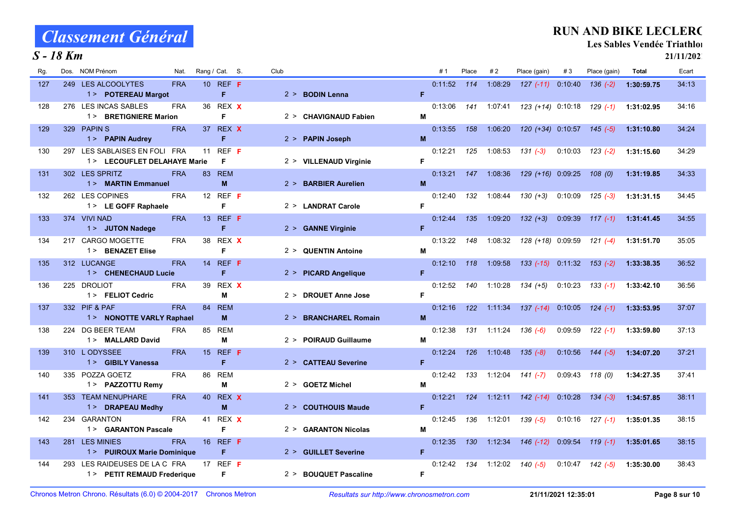### S - 18 Km

### RUN AND BIKE LECLERC

Les Sables Vendée Triathlon

| Rg. | <b>NOM Prénom</b><br>Dos.                                    | Nat.       | Rang / Cat. S.       | Club |                        |    | #1      | Place | #2      | Place (gain)               | #3      | Place (gain)           | Total      | Ecart |
|-----|--------------------------------------------------------------|------------|----------------------|------|------------------------|----|---------|-------|---------|----------------------------|---------|------------------------|------------|-------|
| 127 | 249 LES ALCOOLYTES<br>1 > POTEREAU Margot                    | <b>FRA</b> | 10 REF <b>F</b><br>F |      | 2 > BODIN Lenna        | F. | 0:11:52 | 114   | 1:08:29 | $127(-11)$ 0.10.40         |         | $136 (-2)$             | 1:30:59.75 | 34:13 |
| 128 | 276 LES INCAS SABLES<br>1 > BRETIGNIERE Marion               | <b>FRA</b> | 36 REX X<br>F        |      | 2 > CHAVIGNAUD Fabien  | M  | 0:13:06 | 141   | 1:07:41 | 123 (+14) 0:10:18 129 (-1) |         |                        | 1:31:02.95 | 34:16 |
| 129 | 329 PAPINS<br>1> PAPIN Audrey                                | <b>FRA</b> | 37 REX X<br>F        |      | 2 > PAPIN Joseph       | M  | 0:13:55 | 158   | 1:06:20 | 120 (+34) 0:10:57 145 (-5) |         |                        | 1:31:10.80 | 34:24 |
| 130 | 297 LES SABLAISES EN FOLI FRA<br>1> LECOUFLET DELAHAYE Marie |            | 11 REF F<br>F        |      | 2 > VILLENAUD Virginie | F. | 0:12:21 | 125   | 1:08:53 | $131 (-3)$                 |         | $0:10:03$ $123$ $(-2)$ | 1:31:15.60 | 34:29 |
| 131 | 302 LES SPRITZ<br>1 > MARTIN Emmanuel                        | <b>FRA</b> | 83 REM<br>M          |      | 2 > BARBIER Aurelien   | M  | 0:13:21 | 147   | 1:08:36 | 129 (+16) 0:09:25          |         | 108(0)                 | 1:31:19.85 | 34:33 |
| 132 | 262 LES COPINES<br>1 > LE GOFF Raphaele                      | <b>FRA</b> | 12 REF F<br>F        |      | 2 > LANDRAT Carole     | F. | 0:12:40 | 132   | 1:08:44 | $130 (+3)$                 | 0:10:09 | $125(-3)$              | 1:31:31.15 | 34 45 |
| 133 | 374 VIVI NAD<br>1 > JUTON Nadege                             | <b>FRA</b> | 13 REF <b>F</b><br>F |      | 2 > GANNE Virginie     | F. | 0:12:44 | 135   | 1:09:20 | $132 (+3)$                 | 0:09:39 | $117(-1)$              | 1:31:41.45 | 34 55 |
| 134 | 217 CARGO MOGETTE<br>1 > BENAZET Elise                       | <b>FRA</b> | 38 REX X<br>F        |      | 2 > QUENTIN Antoine    | М  | 0:13:22 | 148   | 1:08:32 | 128 (+18) 0:09:59          |         | $121(-4)$              | 1:31:51.70 | 35:05 |
| 135 | 312 LUCANGE<br>1 > CHENECHAUD Lucie                          | <b>FRA</b> | 14 REF <b>F</b><br>F |      | 2 > PICARD Angelique   | F. | 0:12:10 | 118   | 1:09:58 | 133 (-15) 0:11:32 153 (-2) |         |                        | 1:33:38.35 | 36:52 |
| 136 | 225 DROLIOT<br>1> FELIOT Cedric                              | <b>FRA</b> | 39 REX X<br>М        |      | 2 > DROUET Anne Jose   | F. | 0:12:52 | 140   | 1:10:28 | $134 (+5)$                 | 0:10:23 | $133(-1)$              | 1:33:42.10 | 36:56 |
| 137 | 332 PIF & PAF<br>1> NONOTTE VARLY Raphael                    | <b>FRA</b> | 84 REM<br>M          |      | 2 > BRANCHAREL Romain  | M  | 0.12.16 | 122   | 1:11:34 | $137(-14)$                 | 0:10:05 | $124(-1)$              | 1:33:53.95 | 37:07 |
| 138 | 224 DG BEER TEAM<br>1 > MALLARD David                        | <b>FRA</b> | 85 REM<br>М          |      | 2 > POIRAUD Guillaume  | м  | 0:12:38 | 131   | 1:11:24 | $136(-6)$                  | 0:09:59 | $122(-1)$              | 1:33:59.80 | 37:13 |
| 139 | 310 L ODYSSEE<br>1> GIBILY Vanessa                           | <b>FRA</b> | 15 REF <b>F</b><br>F |      | 2 > CATTEAU Severine   | F. | 0.12.24 | 126   | 1:10:48 | $135(-8)$                  | 0.10.56 | $144(-5)$              | 1:34:07.20 | 37:21 |
| 140 | 335 POZZA GOETZ<br>1 > PAZZOTTU Remy                         | <b>FRA</b> | 86 REM<br>М          |      | 2 > GOETZ Michel       | M  | 0:12:42 | 133   | 1:12:04 | $141 (-7)$                 | 0:09:43 | 118 (0)                | 1:34:27.35 | 37.41 |
| 141 | 353 TEAM NENUPHARE<br>1 > DRAPEAU Medhy                      | <b>FRA</b> | 40 REX X<br>M        |      | 2 > COUTHOUIS Maude    | F. | 0:12:21 | 124   | 1:12:11 | $142$ (-14)                | 0:10:28 | $134 (-3)$             | 1:34:57.85 | 38:11 |
| 142 | 234 GARANTON<br>1> GARANTON Pascale                          | <b>FRA</b> | 41 REX X<br>F        |      | 2 > GARANTON Nicolas   | M  | 0:12:45 | 136   | 1:12:01 | 139 (-5)                   | 0:10:16 | $127(-1)$              | 1:35:01.35 | 38:15 |
| 143 | 281 LES MINIES<br>1> PUIROUX Marie Dominique                 | <b>FRA</b> | 16 REF <b>F</b><br>F |      | 2 > GUILLET Severine   | F. | 0:12:35 | 130   | 1:12:34 | $146(-12)$                 | 0:09:54 | $119(-1)$              | 1:35:01.65 | 38.15 |
| 144 | 293 LES RAIDEUSES DE LA C FRA<br>1> PETIT REMAUD Frederique  |            | 17 REF $F$<br>F.     |      | 2 > BOUQUET Pascaline  | F. | 0:12:42 | 134   | 1:12:02 | $140(-5)$                  | 0.10:47 | 142 (-5)               | 1:35:30.00 | 38:43 |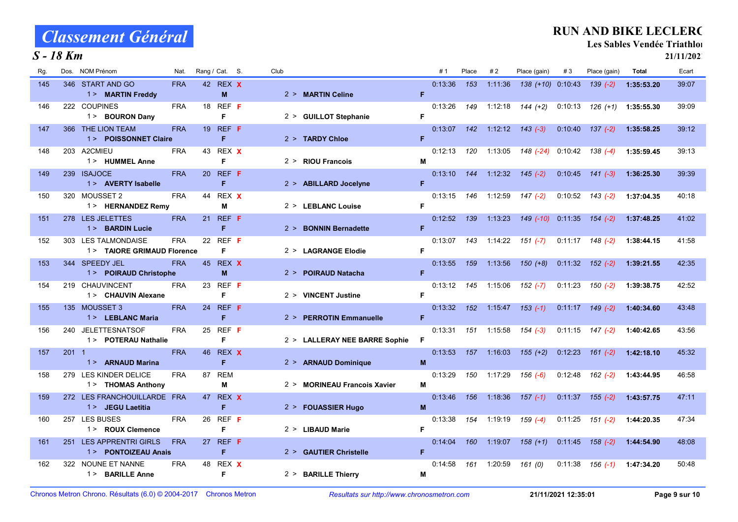### S - 18 Km

### RUN AND BIKE LECLERC

Les Sables Vendée Triathlon

| Rg. | <b>NOM Prénom</b><br>Dos.                         | Nat.       | Rang / Cat. S.       | Club |                               |    | # 1     | Place | #2      | Place (gain)               | #3      | Place (gain)           | <b>Total</b> | Ecart |
|-----|---------------------------------------------------|------------|----------------------|------|-------------------------------|----|---------|-------|---------|----------------------------|---------|------------------------|--------------|-------|
| 145 | 346 START AND GO<br>1> MARTIN Freddy              | <b>FRA</b> | 42 REX X<br>M        |      | 2 > MARTIN Celine             | F  | 0:13:36 | 153   | 1.11:36 | 138 (+10) 0:10:43          |         | $139(-2)$              | 1:35:53.20   | 39:07 |
| 146 | 222 COUPINES<br>1 > BOURON Dany                   | <b>FRA</b> | 18 REF F<br>F        |      | 2 > GUILLOT Stephanie         | F  | 0:13:26 | 149   | 1:12:18 | $144 (+2)$                 |         | $0.10:13$ $126$ (+1)   | 1:35:55.30   | 39:09 |
| 147 | 366 THE LION TEAM<br>1> POISSONNET Claire         | <b>FRA</b> | 19 REF F<br>F        |      | 2 > TARDY Chloe               | F  | 0:13:07 | 142   | 1:12:12 | $143(-3)$                  |         | $0:10:40$ $137$ $(-2)$ | 1:35:58.25   | 39:12 |
| 148 | 203 A2CMIEU<br>1> HUMMEL Anne                     | <b>FRA</b> | 43 REX X<br>F        |      | 2 > RIOU Francois             | M  | 0:12:13 | 120   | 1:13:05 | 148 (-24) 0:10:42 138 (-4) |         |                        | 1:35:59.45   | 39:13 |
| 149 | 239 ISAJOCE<br>1 > AVERTY Isabelle                | <b>FRA</b> | 20 REF F<br>F        |      | 2 > ABILLARD Jocelyne         | F. | 0:13:10 | 144   | 1:12:32 | $145(-2)$                  |         | $0:10:45$ $141$ $(-3)$ | 1:36:25.30   | 39:39 |
| 150 | 320 MOUSSET 2<br>1> HERNANDEZ Remy                | <b>FRA</b> | 44 REX X<br>M        |      | 2 > LEBLANC Louise            | F  | 0:13:15 | 146   | 1:12:59 | $147$ $(-2)$               |         | $0:10:52$ $143$ $(-2)$ | 1:37:04.35   | 40:18 |
| 151 | 278 LES JELETTES<br>1> BARDIN Lucie               | <b>FRA</b> | 21 REF <b>F</b><br>F |      | 2 > BONNIN Bernadette         | F  | 0:12:52 | 139   | 1:13:23 | 149 (-10) 0:11:35 154 (-2) |         |                        | 1:37:48.25   | 41:02 |
| 152 | 303 LES TALMONDAISE<br>1> TAIORE GRIMAUD Florence | <b>FRA</b> | 22 REF $F$<br>F      |      | 2 > LAGRANGE Elodie           | F. | 0:13:07 | 143   | 1:14:22 | $151(-7)$                  |         | $0:11:17$ $148$ $(-2)$ | 1:38:44.15   | 41:58 |
| 153 | 344 SPEEDY JEL<br>1> POIRAUD Christophe           | <b>FRA</b> | 45 REX X<br>M        |      | 2 > POIRAUD Natacha           | F  | 0:13:55 | 159   | 1:13:56 | $150 (+8)$                 |         | $0.11.32$ $152$ $(-2)$ | 1:39:21.55   | 42.35 |
| 154 | 219 CHAUVINCENT<br>1 > CHAUVIN Alexane            | <b>FRA</b> | 23 REF F<br>F        |      | 2 > VINCENT Justine           | F  | 0:13:12 | 145   | 1:15:06 | $152(-7)$                  | 0:11:23 | $150(-2)$              | 1:39:38.75   | 42:52 |
| 155 | 135 MOUSSET 3<br>1 > LEBLANC Maria                | <b>FRA</b> | 24 REF <b>F</b><br>F |      | 2 > PERROTIN Emmanuelle       | F. | 0:13:32 | 152   | 1:15:47 | $153(-1)$                  |         | $0:11:17$ 149 (-2)     | 1:40:34.60   | 43:48 |
| 156 | 240 JELETTESNATSOF<br>1> POTERAU Nathalie         | <b>FRA</b> | 25 REF F<br>F        |      | 2 > LALLERAY NEE BARRE Sophie | F. | 0:13:31 | 151   | 1:15:58 | $154 (-3)$                 |         | $0:11:15$ $147$ $(-2)$ | 1:40:42.65   | 43:56 |
| 157 | $201 \quad 1$<br>1 > ARNAUD Marina                | <b>FRA</b> | 46 REX X<br>F        |      | 2 > ARNAUD Dominique          | M  | 0:13:53 | 157   | 1:16:03 | $155 (+2)$                 | 0.12.23 | $161 (-2)$             | 1:42:18.10   | 45.32 |
| 158 | 279 LES KINDER DELICE<br>1> THOMAS Anthony        | <b>FRA</b> | 87 REM<br>М          |      | 2 > MORINEAU Francois Xavier  | м  | 0:13:29 | 150   | 1:17:29 | $156(-6)$                  | 0:12:48 | 162 (-2)               | 1:43:44.95   | 46:58 |
| 159 | 272 LES FRANCHOUILLARDE FRA<br>1 > JEGU Laetitia  |            | 47 REX X<br>F        |      | 2 > FOUASSIER Hugo            | M  | 0.13.46 | 156   | 1.18.36 | $157(-1)$                  | 0:11:37 | $155(-2)$              | 1:43:57.75   | 47:11 |
| 160 | 257 LES BUSES<br>1> ROUX Clemence                 | <b>FRA</b> | 26 REF <b>F</b><br>F |      | 2 > LIBAUD Marie              | F. | 0:13:38 | 154   | 1:19:19 | $159(-4)$                  | 0:11:25 | 151 (-2)               | 1:44:20.35   | 47:34 |
| 161 | 251 LES APPRENTRI GIRLS<br>1 > PONTOIZEAU Anais   | <b>FRA</b> | 27 REF F<br>F        |      | 2 > GAUTIER Christelle        | F. | 0.14.04 | 160   | 1:19:07 | $158(+1)$                  | 0:11:45 | $158(-2)$              | 1:44:54.90   | 48:08 |
| 162 | 322 NOUNE ET NANNE<br>1> BARILLE Anne             | <b>FRA</b> | 48 REX X<br>F        |      | 2 > BARILLE Thierry           | M  | 0:14:58 | 161   | 1:20:59 | 161 (0)                    | 0:11:38 | 156 (-1)               | 1:47:34.20   | 50:48 |